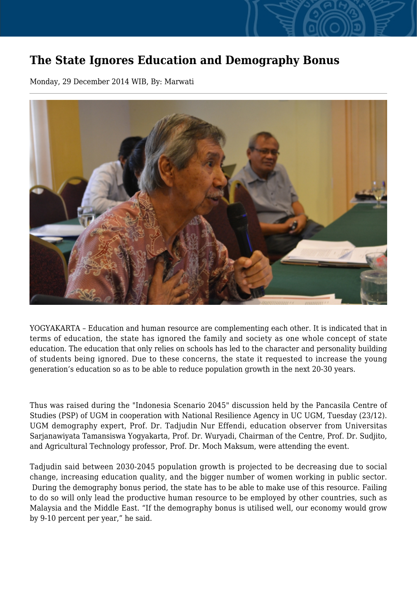## **The State Ignores Education and Demography Bonus**

Monday, 29 December 2014 WIB, By: Marwati



YOGYAKARTA – Education and human resource are complementing each other. It is indicated that in terms of education, the state has ignored the family and society as one whole concept of state education. The education that only relies on schools has led to the character and personality building of students being ignored. Due to these concerns, the state it requested to increase the young generation's education so as to be able to reduce population growth in the next 20-30 years.

Thus was raised during the "Indonesia Scenario 2045" discussion held by the Pancasila Centre of Studies (PSP) of UGM in cooperation with National Resilience Agency in UC UGM, Tuesday (23/12). UGM demography expert, Prof. Dr. Tadjudin Nur Effendi, education observer from Universitas Sarjanawiyata Tamansiswa Yogyakarta, Prof. Dr. Wuryadi, Chairman of the Centre, Prof. Dr. Sudjito, and Agricultural Technology professor, Prof. Dr. Moch Maksum, were attending the event.

Tadjudin said between 2030-2045 population growth is projected to be decreasing due to social change, increasing education quality, and the bigger number of women working in public sector. During the demography bonus period, the state has to be able to make use of this resource. Failing to do so will only lead the productive human resource to be employed by other countries, such as Malaysia and the Middle East. "If the demography bonus is utilised well, our economy would grow by 9-10 percent per year," he said.